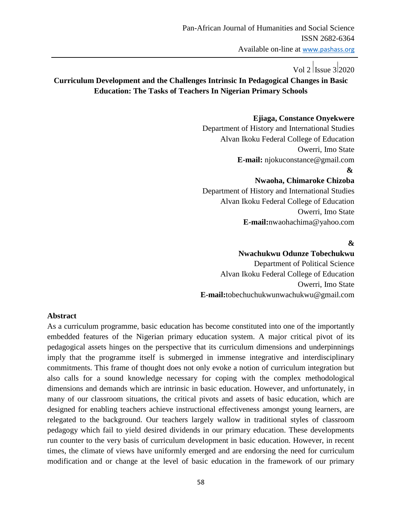## Vol 2 Issue 3 2020

## **Curriculum Development and the Challenges Intrinsic In Pedagogical Changes in Basic Education: The Tasks of Teachers In Nigerian Primary Schools**

### **Ejiaga, Constance Onyekwere**

Department of History and International Studies Alvan Ikoku Federal College of Education Owerri, Imo State  **E-mail:** njokuconstance@gmail.com

#### **&**

### **Nwaoha, Chimaroke Chizoba**

Department of History and International Studies Alvan Ikoku Federal College of Education Owerri, Imo State **E-mail:**nwaohachima@yahoo.com

### **&**

#### **Nwachukwu Odunze Tobechukwu**

 Department of Political Science Alvan Ikoku Federal College of Education Owerri, Imo State  **E-mail:**tobechuchukwunwachukwu@gmail.com

#### **Abstract**

As a curriculum programme, basic education has become constituted into one of the importantly embedded features of the Nigerian primary education system. A major critical pivot of its pedagogical assets hinges on the perspective that its curriculum dimensions and underpinnings imply that the programme itself is submerged in immense integrative and interdisciplinary commitments. This frame of thought does not only evoke a notion of curriculum integration but also calls for a sound knowledge necessary for coping with the complex methodological dimensions and demands which are intrinsic in basic education. However, and unfortunately, in many of our classroom situations, the critical pivots and assets of basic education, which are designed for enabling teachers achieve instructional effectiveness amongst young learners, are relegated to the background. Our teachers largely wallow in traditional styles of classroom pedagogy which fail to yield desired dividends in our primary education. These developments run counter to the very basis of curriculum development in basic education. However, in recent times, the climate of views have uniformly emerged and are endorsing the need for curriculum modification and or change at the level of basic education in the framework of our primary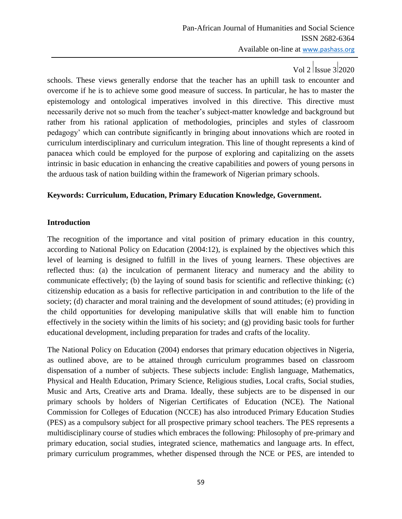schools. These views generally endorse that the teacher has an uphill task to encounter and overcome if he is to achieve some good measure of success. In particular, he has to master the epistemology and ontological imperatives involved in this directive. This directive must necessarily derive not so much from the teacher"s subject-matter knowledge and background but rather from his rational application of methodologies, principles and styles of classroom pedagogy" which can contribute significantly in bringing about innovations which are rooted in curriculum interdisciplinary and curriculum integration. This line of thought represents a kind of panacea which could be employed for the purpose of exploring and capitalizing on the assets intrinsic in basic education in enhancing the creative capabilities and powers of young persons in the arduous task of nation building within the framework of Nigerian primary schools.

### **Keywords: Curriculum, Education, Primary Education Knowledge, Government.**

### **Introduction**

The recognition of the importance and vital position of primary education in this country, according to National Policy on Education (2004:12), is explained by the objectives which this level of learning is designed to fulfill in the lives of young learners. These objectives are reflected thus: (a) the inculcation of permanent literacy and numeracy and the ability to communicate effectively; (b) the laying of sound basis for scientific and reflective thinking; (c) citizenship education as a basis for reflective participation in and contribution to the life of the society; (d) character and moral training and the development of sound attitudes; (e) providing in the child opportunities for developing manipulative skills that will enable him to function effectively in the society within the limits of his society; and (g) providing basic tools for further educational development, including preparation for trades and crafts of the locality.

The National Policy on Education (2004) endorses that primary education objectives in Nigeria, as outlined above, are to be attained through curriculum programmes based on classroom dispensation of a number of subjects. These subjects include: English language, Mathematics, Physical and Health Education, Primary Science, Religious studies, Local crafts, Social studies, Music and Arts, Creative arts and Drama. Ideally, these subjects are to be dispensed in our primary schools by holders of Nigerian Certificates of Education (NCE). The National Commission for Colleges of Education (NCCE) has also introduced Primary Education Studies (PES) as a compulsory subject for all prospective primary school teachers. The PES represents a multidisciplinary course of studies which embraces the following: Philosophy of pre-primary and primary education, social studies, integrated science, mathematics and language arts. In effect, primary curriculum programmes, whether dispensed through the NCE or PES, are intended to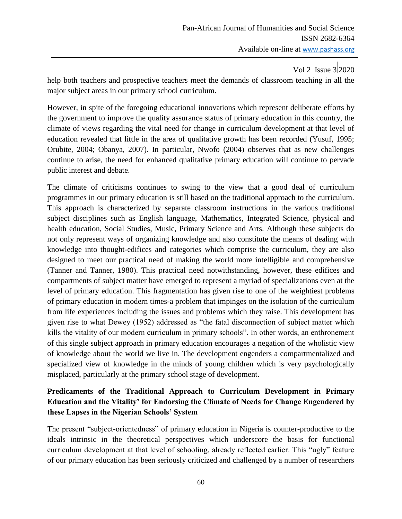help both teachers and prospective teachers meet the demands of classroom teaching in all the major subject areas in our primary school curriculum.

However, in spite of the foregoing educational innovations which represent deliberate efforts by the government to improve the quality assurance status of primary education in this country, the climate of views regarding the vital need for change in curriculum development at that level of education revealed that little in the area of qualitative growth has been recorded (Yusuf, 1995; Orubite, 2004; Obanya, 2007). In particular, Nwofo (2004) observes that as new challenges continue to arise, the need for enhanced qualitative primary education will continue to pervade public interest and debate.

The climate of criticisms continues to swing to the view that a good deal of curriculum programmes in our primary education is still based on the traditional approach to the curriculum. This approach is characterized by separate classroom instructions in the various traditional subject disciplines such as English language, Mathematics, Integrated Science, physical and health education, Social Studies, Music, Primary Science and Arts. Although these subjects do not only represent ways of organizing knowledge and also constitute the means of dealing with knowledge into thought-edifices and categories which comprise the curriculum, they are also designed to meet our practical need of making the world more intelligible and comprehensive (Tanner and Tanner, 1980). This practical need notwithstanding, however, these edifices and compartments of subject matter have emerged to represent a myriad of specializations even at the level of primary education. This fragmentation has given rise to one of the weightiest problems of primary education in modern times-a problem that impinges on the isolation of the curriculum from life experiences including the issues and problems which they raise. This development has given rise to what Dewey (1952) addressed as "the fatal disconnection of subject matter which kills the vitality of our modern curriculum in primary schools". In other words, an enthronement of this single subject approach in primary education encourages a negation of the wholistic view of knowledge about the world we live in. The development engenders a compartmentalized and specialized view of knowledge in the minds of young children which is very psychologically misplaced, particularly at the primary school stage of development.

## **Predicaments of the Traditional Approach to Curriculum Development in Primary Education and the Vitality' for Endorsing the Climate of Needs for Change Engendered by these Lapses in the Nigerian Schools' System**

The present "subject-orientedness" of primary education in Nigeria is counter-productive to the ideals intrinsic in the theoretical perspectives which underscore the basis for functional curriculum development at that level of schooling, already reflected earlier. This "ugly" feature of our primary education has been seriously criticized and challenged by a number of researchers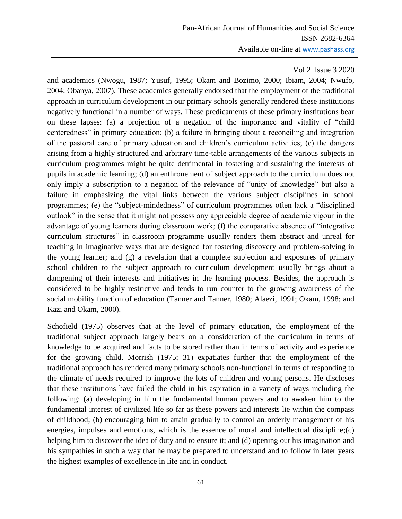and academics (Nwogu, 1987; Yusuf, 1995; Okam and Bozimo, 2000; Ibiam, 2004; Nwufo, 2004; Obanya, 2007). These academics generally endorsed that the employment of the traditional approach in curriculum development in our primary schools generally rendered these institutions negatively functional in a number of ways. These predicaments of these primary institutions bear on these lapses: (a) a projection of a negation of the importance and vitality of "child centeredness" in primary education; (b) a failure in bringing about a reconciling and integration of the pastoral care of primary education and children"s curriculum activities; (c) the dangers arising from a highly structured and arbitrary time-table arrangements of the various subjects in curriculum programmes might be quite detrimental in fostering and sustaining the interests of pupils in academic learning; (d) an enthronement of subject approach to the curriculum does not only imply a subscription to a negation of the relevance of "unity of knowledge" but also a failure in emphasizing the vital links between the various subject disciplines in school programmes; (e) the "subject-mindedness" of curriculum programmes often lack a "disciplined outlook" in the sense that it might not possess any appreciable degree of academic vigour in the advantage of young learners during classroom work; (f) the comparative absence of "integrative curriculum structures" in classroom programme usually renders them abstract and unreal for teaching in imaginative ways that are designed for fostering discovery and problem-solving in the young learner; and (g) a revelation that a complete subjection and exposures of primary school children to the subject approach to curriculum development usually brings about a dampening of their interests and initiatives in the learning process. Besides, the approach is considered to be highly restrictive and tends to run counter to the growing awareness of the social mobility function of education (Tanner and Tanner, 1980; Alaezi, 1991; Okam, 1998; and Kazi and Okam, 2000).

Schofield (1975) observes that at the level of primary education, the employment of the traditional subject approach largely bears on a consideration of the curriculum in terms of knowledge to be acquired and facts to be stored rather than in terms of activity and experience for the growing child. Morrish (1975; 31) expatiates further that the employment of the traditional approach has rendered many primary schools non-functional in terms of responding to the climate of needs required to improve the lots of children and young persons. He discloses that these institutions have failed the child in his aspiration in a variety of ways including the following: (a) developing in him the fundamental human powers and to awaken him to the fundamental interest of civilized life so far as these powers and interests lie within the compass of childhood; (b) encouraging him to attain gradually to control an orderly management of his energies, impulses and emotions, which is the essence of moral and intellectual discipline;(c) helping him to discover the idea of duty and to ensure it; and (d) opening out his imagination and his sympathies in such a way that he may be prepared to understand and to follow in later years the highest examples of excellence in life and in conduct.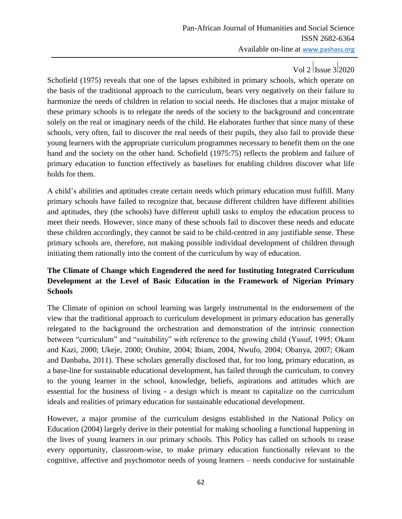# Vol 2 Issue 3 2020

Schofield (1975) reveals that one of the lapses exhibited in primary schools, which operate on the basis of the traditional approach to the curriculum, bears very negatively on their failure to harmonize the needs of children in relation to social needs. He discloses that a major mistake of these primary schools is to relegate the needs of the society to the background and concentrate solely on the real or imaginary needs of the child. He elaborates further that since many of these schools, very often, fail to discover the real needs of their pupils, they also fail to provide these young learners with the appropriate curriculum programmes necessary to benefit them on the one hand and the society on the other hand. Schofield (1975:75) reflects the problem and failure of primary education to function effectively as baselines for enabling children discover what life holds for them.

A child"s abilities and aptitudes create certain needs which primary education must fulfill. Many primary schools have failed to recognize that, because different children have different abilities and aptitudes, they (the schools) have different uphill tasks to employ the education process to meet their needs. However, since many of these schools fail to discover these needs and educate these children accordingly, they cannot be said to be child-centred in any justifiable sense. These primary schools are, therefore, not making possible individual development of children through initiating them rationally into the content of the curriculum by way of education.

## **The Climate of Change which Engendered the need for Instituting Integrated Curriculum Development at the Level of Basic Education in the Framework of Nigerian Primary Schools**

The Climate of opinion on school learning was largely instrumental in the endorsement of the view that the traditional approach to curriculum development in primary education has generally relegated to the background the orchestration and demonstration of the intrinsic connection between "curriculum" and "suitability" with reference to the growing child (Yusuf, 1995; Okam and Kazi, 2000; Ukeje, 2000; Orubite, 2004; Ibiam, 2004, Nwufo, 2004; Obanya, 2007; Okam and Danbaba, 2011). These scholars generally disclosed that, for too long, primary education, as a base-line for sustainable educational development, has failed through the curriculum, to convey to the young learner in the school, knowledge, beliefs, aspirations and attitudes which are essential for the business of living - a design which is meant to capitalize on the curriculum ideals and realities of primary education for sustainable educational development.

However, a major promise of the curriculum designs established in the National Policy on Education (2004) largely derive in their potential for making schooling a functional happening in the lives of young learners in our primary schools. This Policy has called on schools to cease every opportunity, classroom-wise, to make primary education functionally relevant to the cognitive, affective and psychomotor needs of young learners – needs conducive for sustainable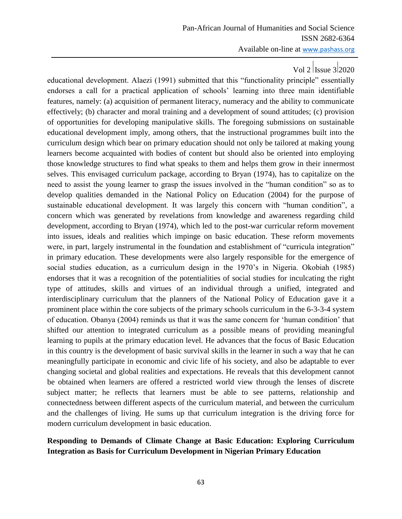educational development. Alaezi (1991) submitted that this "functionality principle" essentially endorses a call for a practical application of schools" learning into three main identifiable features, namely: (a) acquisition of permanent literacy, numeracy and the ability to communicate effectively; (b) character and moral training and a development of sound attitudes; (c) provision of opportunities for developing manipulative skills. The foregoing submissions on sustainable educational development imply, among others, that the instructional programmes built into the curriculum design which bear on primary education should not only be tailored at making young learners become acquainted with bodies of content but should also be oriented into employing those knowledge structures to find what speaks to them and helps them grow in their innermost selves. This envisaged curriculum package, according to Bryan (1974), has to capitalize on the need to assist the young learner to grasp the issues involved in the "human condition" so as to develop qualities demanded in the National Policy on Education (2004) for the purpose of sustainable educational development. It was largely this concern with "human condition", a concern which was generated by revelations from knowledge and awareness regarding child development, according to Bryan (1974), which led to the post-war curricular reform movement into issues, ideals and realities which impinge on basic education. These reform movements were, in part, largely instrumental in the foundation and establishment of "curricula integration" in primary education. These developments were also largely responsible for the emergence of social studies education, as a curriculum design in the 1970's in Nigeria. Okobiah (1985) endorses that it was a recognition of the potentialities of social studies for inculcating the right type of attitudes, skills and virtues of an individual through a unified, integrated and interdisciplinary curriculum that the planners of the National Policy of Education gave it a prominent place within the core subjects of the primary schools curriculum in the 6-3-3-4 system of education. Obanya (2004) reminds us that it was the same concern for "human condition" that shifted our attention to integrated curriculum as a possible means of providing meaningful learning to pupils at the primary education level. He advances that the focus of Basic Education in this country is the development of basic survival skills in the learner in such a way that he can meaningfully participate in economic and civic life of his society, and also be adaptable to ever changing societal and global realities and expectations. He reveals that this development cannot be obtained when learners are offered a restricted world view through the lenses of discrete subject matter; he reflects that learners must be able to see patterns, relationship and connectedness between different aspects of the curriculum material, and between the curriculum and the challenges of living. He sums up that curriculum integration is the driving force for modern curriculum development in basic education.

### **Responding to Demands of Climate Change at Basic Education: Exploring Curriculum Integration as Basis for Curriculum Development in Nigerian Primary Education**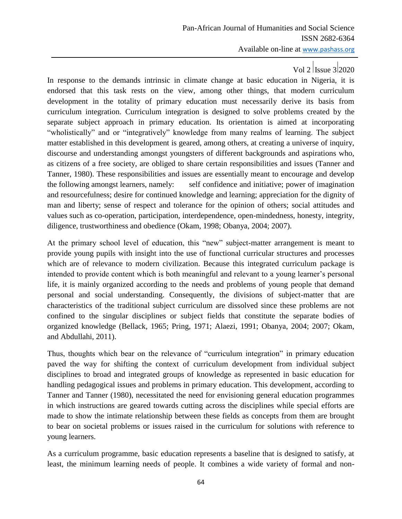In response to the demands intrinsic in climate change at basic education in Nigeria, it is endorsed that this task rests on the view, among other things, that modern curriculum development in the totality of primary education must necessarily derive its basis from curriculum integration. Curriculum integration is designed to solve problems created by the separate subject approach in primary education. Its orientation is aimed at incorporating "wholistically" and or "integratively" knowledge from many realms of learning. The subject matter established in this development is geared, among others, at creating a universe of inquiry, discourse and understanding amongst youngsters of different backgrounds and aspirations who, as citizens of a free society, are obliged to share certain responsibilities and issues (Tanner and Tanner, 1980). These responsibilities and issues are essentially meant to encourage and develop the following amongst learners, namely: self confidence and initiative; power of imagination and resourcefulness; desire for continued knowledge and learning; appreciation for the dignity of man and liberty; sense of respect and tolerance for the opinion of others; social attitudes and values such as co-operation, participation, interdependence, open-mindedness, honesty, integrity, diligence, trustworthiness and obedience (Okam, 1998; Obanya, 2004; 2007).

At the primary school level of education, this "new" subject-matter arrangement is meant to provide young pupils with insight into the use of functional curricular structures and processes which are of relevance to modern civilization. Because this integrated curriculum package is intended to provide content which is both meaningful and relevant to a young learner"s personal life, it is mainly organized according to the needs and problems of young people that demand personal and social understanding. Consequently, the divisions of subject-matter that are characteristics of the traditional subject curriculum are dissolved since these problems are not confined to the singular disciplines or subject fields that constitute the separate bodies of organized knowledge (Bellack, 1965; Pring, 1971; Alaezi, 1991; Obanya, 2004; 2007; Okam, and Abdullahi, 2011).

Thus, thoughts which bear on the relevance of "curriculum integration" in primary education paved the way for shifting the context of curriculum development from individual subject disciplines to broad and integrated groups of knowledge as represented in basic education for handling pedagogical issues and problems in primary education. This development, according to Tanner and Tanner (1980), necessitated the need for envisioning general education programmes in which instructions are geared towards cutting across the disciplines while special efforts are made to show the intimate relationship between these fields as concepts from them are brought to bear on societal problems or issues raised in the curriculum for solutions with reference to young learners.

As a curriculum programme, basic education represents a baseline that is designed to satisfy, at least, the minimum learning needs of people. It combines a wide variety of formal and non-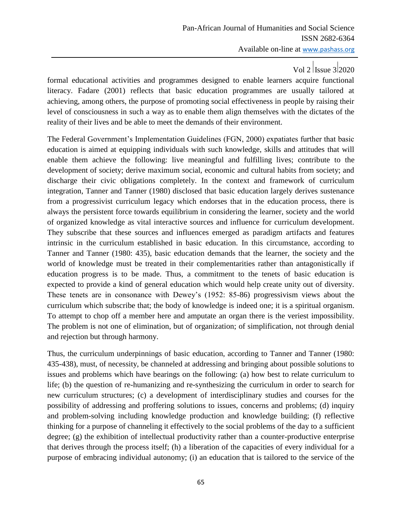# Vol 2 Issue  $3|2020$

formal educational activities and programmes designed to enable learners acquire functional literacy. Fadare (2001) reflects that basic education programmes are usually tailored at achieving, among others, the purpose of promoting social effectiveness in people by raising their level of consciousness in such a way as to enable them align themselves with the dictates of the reality of their lives and be able to meet the demands of their environment.

The Federal Government"s Implementation Guidelines (FGN, 2000) expatiates further that basic education is aimed at equipping individuals with such knowledge, skills and attitudes that will enable them achieve the following: live meaningful and fulfilling lives; contribute to the development of society; derive maximum social, economic and cultural habits from society; and discharge their civic obligations completely. In the context and framework of curriculum integration, Tanner and Tanner (1980) disclosed that basic education largely derives sustenance from a progressivist curriculum legacy which endorses that in the education process, there is always the persistent force towards equilibrium in considering the learner, society and the world of organized knowledge as vital interactive sources and influence for curriculum development. They subscribe that these sources and influences emerged as paradigm artifacts and features intrinsic in the curriculum established in basic education. In this circumstance, according to Tanner and Tanner (1980: 435), basic education demands that the learner, the society and the world of knowledge must be treated in their complementarities rather than antagonistically if education progress is to be made. Thus, a commitment to the tenets of basic education is expected to provide a kind of general education which would help create unity out of diversity. These tenets are in consonance with Dewey"s (1952: 85-86) progressivism views about the curriculum which subscribe that; the body of knowledge is indeed one; it is a spiritual organism. To attempt to chop off a member here and amputate an organ there is the veriest impossibility. The problem is not one of elimination, but of organization; of simplification, not through denial and rejection but through harmony.

Thus, the curriculum underpinnings of basic education, according to Tanner and Tanner (1980: 435-438), must, of necessity, be channeled at addressing and bringing about possible solutions to issues and problems which have bearings on the following: (a) how best to relate curriculum to life; (b) the question of re-humanizing and re-synthesizing the curriculum in order to search for new curriculum structures; (c) a development of interdisciplinary studies and courses for the possibility of addressing and proffering solutions to issues, concerns and problems; (d) inquiry and problem-solving including knowledge production and knowledge building; (f) reflective thinking for a purpose of channeling it effectively to the social problems of the day to a sufficient degree; (g) the exhibition of intellectual productivity rather than a counter-productive enterprise that derives through the process itself; (h) a liberation of the capacities of every individual for a purpose of embracing individual autonomy; (i) an education that is tailored to the service of the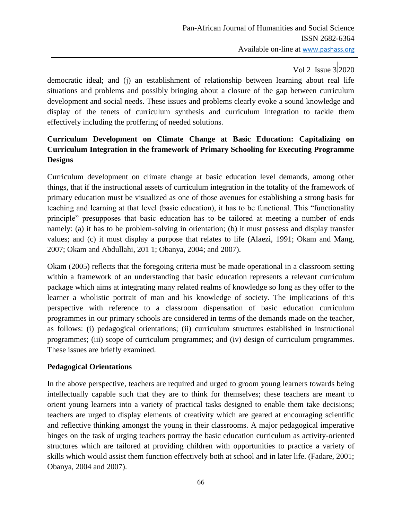democratic ideal; and (j) an establishment of relationship between learning about real life situations and problems and possibly bringing about a closure of the gap between curriculum development and social needs. These issues and problems clearly evoke a sound knowledge and display of the tenets of curriculum synthesis and curriculum integration to tackle them effectively including the proffering of needed solutions.

## **Curriculum Development on Climate Change at Basic Education: Capitalizing on Curriculum Integration in the framework of Primary Schooling for Executing Programme Designs**

Curriculum development on climate change at basic education level demands, among other things, that if the instructional assets of curriculum integration in the totality of the framework of primary education must be visualized as one of those avenues for establishing a strong basis for teaching and learning at that level (basic education), it has to be functional. This "functionality principle" presupposes that basic education has to be tailored at meeting a number of ends namely: (a) it has to be problem-solving in orientation; (b) it must possess and display transfer values; and (c) it must display a purpose that relates to life (Alaezi, 1991; Okam and Mang, 2007; Okam and Abdullahi, 201 1; Obanya, 2004; and 2007).

Okam (2005) reflects that the foregoing criteria must be made operational in a classroom setting within a framework of an understanding that basic education represents a relevant curriculum package which aims at integrating many related realms of knowledge so long as they offer to the learner a wholistic portrait of man and his knowledge of society. The implications of this perspective with reference to a classroom dispensation of basic education curriculum programmes in our primary schools are considered in terms of the demands made on the teacher, as follows: (i) pedagogical orientations; (ii) curriculum structures established in instructional programmes; (iii) scope of curriculum programmes; and (iv) design of curriculum programmes. These issues are briefly examined.

## **Pedagogical Orientations**

In the above perspective, teachers are required and urged to groom young learners towards being intellectually capable such that they are to think for themselves; these teachers are meant to orient young learners into a variety of practical tasks designed to enable them take decisions; teachers are urged to display elements of creativity which are geared at encouraging scientific and reflective thinking amongst the young in their classrooms. A major pedagogical imperative hinges on the task of urging teachers portray the basic education curriculum as activity-oriented structures which are tailored at providing children with opportunities to practice a variety of skills which would assist them function effectively both at school and in later life. (Fadare, 2001; Obanya, 2004 and 2007).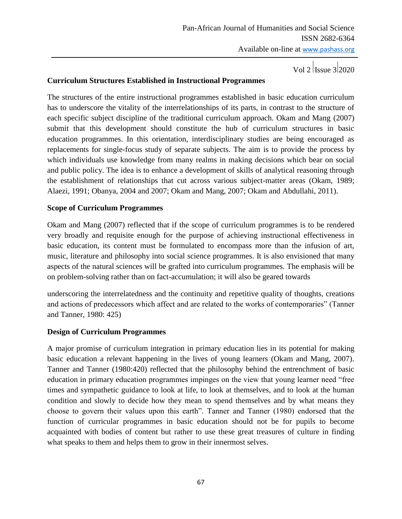Vol 2  $|$ Issue 3 $|2020$ 

#### **Curriculum Structures Established in Instructional Programmes**

The structures of the entire instructional programmes established in basic education curriculum has to underscore the vitality of the interrelationships of its parts, in contrast to the structure of each specific subject discipline of the traditional curriculum approach. Okam and Mang (2007) submit that this development should constitute the hub of curriculum structures in basic education programmes. In this orientation, interdisciplinary studies are being encouraged as replacements for single-focus study of separate subjects. The aim is to provide the process by which individuals use knowledge from many realms in making decisions which bear on social and public policy. The idea is to enhance a development of skills of analytical reasoning through the establishment of relationships that cut across various subject-matter areas (Okam, 1989; Alaezi, 1991; Obanya, 2004 and 2007; Okam and Mang, 2007; Okam and Abdullahi, 2011).

### **Scope of Curriculum Programmes**

Okam and Mang (2007) reflected that if the scope of curriculum programmes is to be rendered very broadly and requisite enough for the purpose of achieving instructional effectiveness in basic education, its content must be formulated to encompass more than the infusion of art, music, literature and philosophy into social science programmes. It is also envisioned that many aspects of the natural sciences will be grafted into curriculum programmes. The emphasis will be on problem-solving rather than on fact-accumulation; it will also be geared towards

underscoring the interrelatedness and the continuity and repetitive quality of thoughts, creations and actions of predecessors which affect and are related to the works of contemporaries" (Tanner and Tanner, 1980: 425)

#### **Design of Curriculum Programmes**

A major promise of curriculum integration in primary education lies in its potential for making basic education a relevant happening in the lives of young learners (Okam and Mang, 2007). Tanner and Tanner (1980:420) reflected that the philosophy behind the entrenchment of basic education in primary education programmes impinges on the view that young learner need "free times and sympathetic guidance to look at life, to look at themselves, and to look at the human condition and slowly to decide how they mean to spend themselves and by what means they choose to govern their values upon this earth". Tanner and Tanner (1980) endorsed that the function of curricular programmes in basic education should not be for pupils to become acquainted with bodies of content but rather to use these great treasures of culture in finding what speaks to them and helps them to grow in their innermost selves.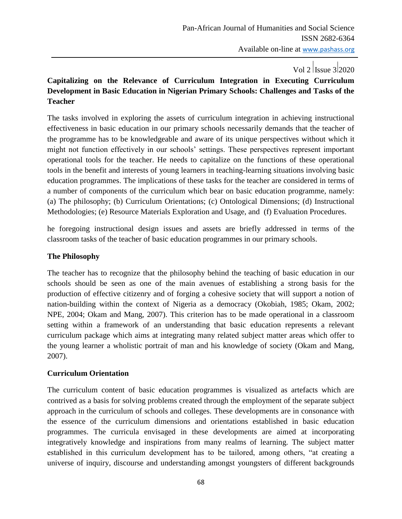## Vol 2 | Issue 3| 2020

## **Capitalizing on the Relevance of Curriculum Integration in Executing Curriculum Development in Basic Education in Nigerian Primary Schools: Challenges and Tasks of the Teacher**

The tasks involved in exploring the assets of curriculum integration in achieving instructional effectiveness in basic education in our primary schools necessarily demands that the teacher of the programme has to be knowledgeable and aware of its unique perspectives without which it might not function effectively in our schools" settings. These perspectives represent important operational tools for the teacher. He needs to capitalize on the functions of these operational tools in the benefit and interests of young learners in teaching-learning situations involving basic education programmes. The implications of these tasks for the teacher are considered in terms of a number of components of the curriculum which bear on basic education programme, namely: (a) The philosophy; (b) Curriculum Orientations; (c) Ontological Dimensions; (d) Instructional Methodologies; (e) Resource Materials Exploration and Usage, and (f) Evaluation Procedures.

he foregoing instructional design issues and assets are briefly addressed in terms of the classroom tasks of the teacher of basic education programmes in our primary schools.

### **The Philosophy**

The teacher has to recognize that the philosophy behind the teaching of basic education in our schools should be seen as one of the main avenues of establishing a strong basis for the production of effective citizenry and of forging a cohesive society that will support a notion of nation-building within the context of Nigeria as a democracy (Okobiah, 1985; Okam, 2002; NPE, 2004; Okam and Mang, 2007). This criterion has to be made operational in a classroom setting within a framework of an understanding that basic education represents a relevant curriculum package which aims at integrating many related subject matter areas which offer to the young learner a wholistic portrait of man and his knowledge of society (Okam and Mang, 2007).

### **Curriculum Orientation**

The curriculum content of basic education programmes is visualized as artefacts which are contrived as a basis for solving problems created through the employment of the separate subject approach in the curriculum of schools and colleges. These developments are in consonance with the essence of the curriculum dimensions and orientations established in basic education programmes. The curricula envisaged in these developments are aimed at incorporating integratively knowledge and inspirations from many realms of learning. The subject matter established in this curriculum development has to be tailored, among others, "at creating a universe of inquiry, discourse and understanding amongst youngsters of different backgrounds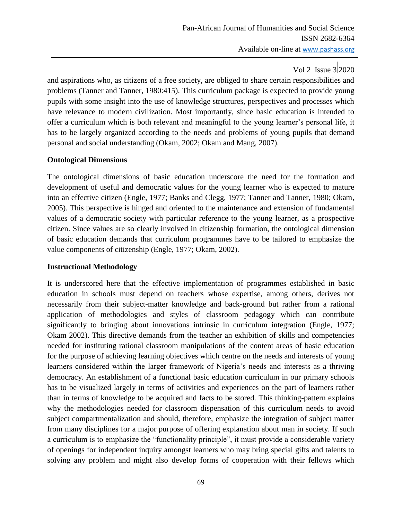# Vol 2 | Issue  $3|2020$

and aspirations who, as citizens of a free society, are obliged to share certain responsibilities and problems (Tanner and Tanner, 1980:415). This curriculum package is expected to provide young pupils with some insight into the use of knowledge structures, perspectives and processes which have relevance to modern civilization. Most importantly, since basic education is intended to offer a curriculum which is both relevant and meaningful to the young learner"s personal life, it has to be largely organized according to the needs and problems of young pupils that demand personal and social understanding (Okam, 2002; Okam and Mang, 2007).

### **Ontological Dimensions**

The ontological dimensions of basic education underscore the need for the formation and development of useful and democratic values for the young learner who is expected to mature into an effective citizen (Engle, 1977; Banks and Clegg, 1977; Tanner and Tanner, 1980; Okam, 2005). This perspective is hinged and oriented to the maintenance and extension of fundamental values of a democratic society with particular reference to the young learner, as a prospective citizen. Since values are so clearly involved in citizenship formation, the ontological dimension of basic education demands that curriculum programmes have to be tailored to emphasize the value components of citizenship (Engle, 1977; Okam, 2002).

### **Instructional Methodology**

It is underscored here that the effective implementation of programmes established in basic education in schools must depend on teachers whose expertise, among others, derives not necessarily from their subject-matter knowledge and back-ground but rather from a rational application of methodologies and styles of classroom pedagogy which can contribute significantly to bringing about innovations intrinsic in curriculum integration (Engle, 1977; Okam 2002). This directive demands from the teacher an exhibition of skills and competencies needed for instituting rational classroom manipulations of the content areas of basic education for the purpose of achieving learning objectives which centre on the needs and interests of young learners considered within the larger framework of Nigeria's needs and interests as a thriving democracy. An establishment of a functional basic education curriculum in our primary schools has to be visualized largely in terms of activities and experiences on the part of learners rather than in terms of knowledge to be acquired and facts to be stored. This thinking-pattern explains why the methodologies needed for classroom dispensation of this curriculum needs to avoid subject compartmentalization and should, therefore, emphasize the integration of subject matter from many disciplines for a major purpose of offering explanation about man in society. If such a curriculum is to emphasize the "functionality principle", it must provide a considerable variety of openings for independent inquiry amongst learners who may bring special gifts and talents to solving any problem and might also develop forms of cooperation with their fellows which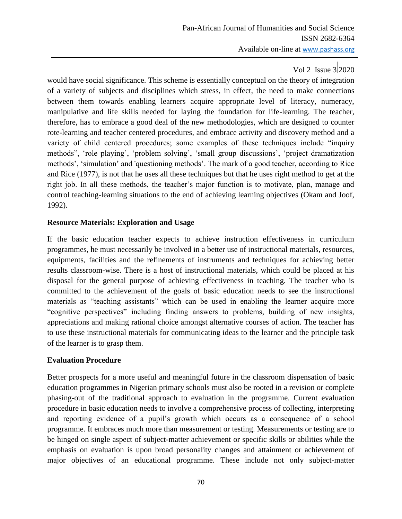would have social significance. This scheme is essentially conceptual on the theory of integration of a variety of subjects and disciplines which stress, in effect, the need to make connections between them towards enabling learners acquire appropriate level of literacy, numeracy, manipulative and life skills needed for laying the foundation for life-learning. The teacher, therefore, has to embrace a good deal of the new methodologies, which are designed to counter rote-learning and teacher centered procedures, and embrace activity and discovery method and a variety of child centered procedures; some examples of these techniques include "inquiry methods", 'role playing', 'problem solving', 'small group discussions', 'project dramatization methods", "simulation" and 'questioning methods". The mark of a good teacher, according to Rice and Rice (1977), is not that he uses all these techniques but that he uses right method to get at the right job. In all these methods, the teacher"s major function is to motivate, plan, manage and control teaching-learning situations to the end of achieving learning objectives (Okam and Joof, 1992).

### **Resource Materials: Exploration and Usage**

If the basic education teacher expects to achieve instruction effectiveness in curriculum programmes, he must necessarily be involved in a better use of instructional materials, resources, equipments, facilities and the refinements of instruments and techniques for achieving better results classroom-wise. There is a host of instructional materials, which could be placed at his disposal for the general purpose of achieving effectiveness in teaching. The teacher who is committed to the achievement of the goals of basic education needs to see the instructional materials as "teaching assistants" which can be used in enabling the learner acquire more "cognitive perspectives" including finding answers to problems, building of new insights, appreciations and making rational choice amongst alternative courses of action. The teacher has to use these instructional materials for communicating ideas to the learner and the principle task of the learner is to grasp them.

## **Evaluation Procedure**

Better prospects for a more useful and meaningful future in the classroom dispensation of basic education programmes in Nigerian primary schools must also be rooted in a revision or complete phasing-out of the traditional approach to evaluation in the programme. Current evaluation procedure in basic education needs to involve a comprehensive process of collecting, interpreting and reporting evidence of a pupil"s growth which occurs as a consequence of a school programme. It embraces much more than measurement or testing. Measurements or testing are to be hinged on single aspect of subject-matter achievement or specific skills or abilities while the emphasis on evaluation is upon broad personality changes and attainment or achievement of major objectives of an educational programme. These include not only subject-matter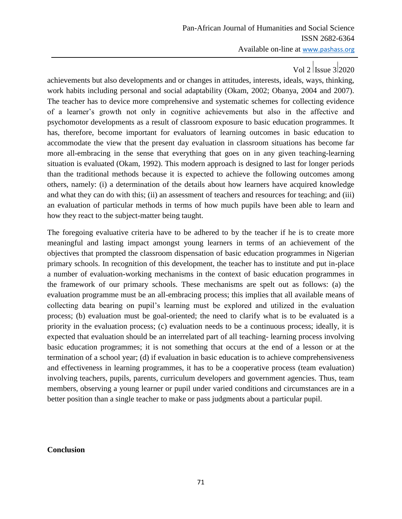achievements but also developments and or changes in attitudes, interests, ideals, ways, thinking, work habits including personal and social adaptability (Okam, 2002; Obanya, 2004 and 2007). The teacher has to device more comprehensive and systematic schemes for collecting evidence of a learner"s growth not only in cognitive achievements but also in the affective and psychomotor developments as a result of classroom exposure to basic education programmes. It has, therefore, become important for evaluators of learning outcomes in basic education to accommodate the view that the present day evaluation in classroom situations has become far more all-embracing in the sense that everything that goes on in any given teaching-learning situation is evaluated (Okam, 1992). This modern approach is designed to last for longer periods than the traditional methods because it is expected to achieve the following outcomes among others, namely: (i) a determination of the details about how learners have acquired knowledge and what they can do with this; (ii) an assessment of teachers and resources for teaching; and (iii) an evaluation of particular methods in terms of how much pupils have been able to learn and how they react to the subject-matter being taught.

The foregoing evaluative criteria have to be adhered to by the teacher if he is to create more meaningful and lasting impact amongst young learners in terms of an achievement of the objectives that prompted the classroom dispensation of basic education programmes in Nigerian primary schools. In recognition of this development, the teacher has to institute and put in-place a number of evaluation-working mechanisms in the context of basic education programmes in the framework of our primary schools. These mechanisms are spelt out as follows: (a) the evaluation programme must be an all-embracing process; this implies that all available means of collecting data bearing on pupil"s learning must be explored and utilized in the evaluation process; (b) evaluation must be goal-oriented; the need to clarify what is to be evaluated is a priority in the evaluation process; (c) evaluation needs to be a continuous process; ideally, it is expected that evaluation should be an interrelated part of all teaching- learning process involving basic education programmes; it is not something that occurs at the end of a lesson or at the termination of a school year; (d) if evaluation in basic education is to achieve comprehensiveness and effectiveness in learning programmes, it has to be a cooperative process (team evaluation) involving teachers, pupils, parents, curriculum developers and government agencies. Thus, team members, observing a young learner or pupil under varied conditions and circumstances are in a better position than a single teacher to make or pass judgments about a particular pupil.

#### **Conclusion**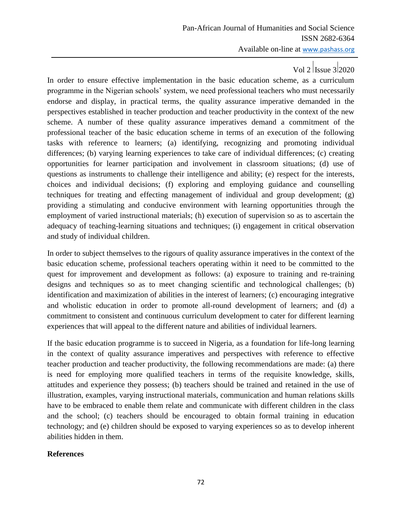In order to ensure effective implementation in the basic education scheme, as a curriculum programme in the Nigerian schools" system, we need professional teachers who must necessarily endorse and display, in practical terms, the quality assurance imperative demanded in the perspectives established in teacher production and teacher productivity in the context of the new scheme. A number of these quality assurance imperatives demand a commitment of the professional teacher of the basic education scheme in terms of an execution of the following tasks with reference to learners; (a) identifying, recognizing and promoting individual differences; (b) varying learning experiences to take care of individual differences; (c) creating opportunities for learner participation and involvement in classroom situations; (d) use of questions as instruments to challenge their intelligence and ability; (e) respect for the interests, choices and individual decisions; (f) exploring and employing guidance and counselling techniques for treating and effecting management of individual and group development; (g) providing a stimulating and conducive environment with learning opportunities through the employment of varied instructional materials; (h) execution of supervision so as to ascertain the adequacy of teaching-learning situations and techniques; (i) engagement in critical observation and study of individual children.

In order to subject themselves to the rigours of quality assurance imperatives in the context of the basic education scheme, professional teachers operating within it need to be committed to the quest for improvement and development as follows: (a) exposure to training and re-training designs and techniques so as to meet changing scientific and technological challenges; (b) identification and maximization of abilities in the interest of learners; (c) encouraging integrative and wholistic education in order to promote all-round development of learners; and (d) a commitment to consistent and continuous curriculum development to cater for different learning experiences that will appeal to the different nature and abilities of individual learners.

If the basic education programme is to succeed in Nigeria, as a foundation for life-long learning in the context of quality assurance imperatives and perspectives with reference to effective teacher production and teacher productivity, the following recommendations are made: (a) there is need for employing more qualified teachers in terms of the requisite knowledge, skills, attitudes and experience they possess; (b) teachers should be trained and retained in the use of illustration, examples, varying instructional materials, communication and human relations skills have to be embraced to enable them relate and communicate with different children in the class and the school; (c) teachers should be encouraged to obtain formal training in education technology; and (e) children should be exposed to varying experiences so as to develop inherent abilities hidden in them.

### **References**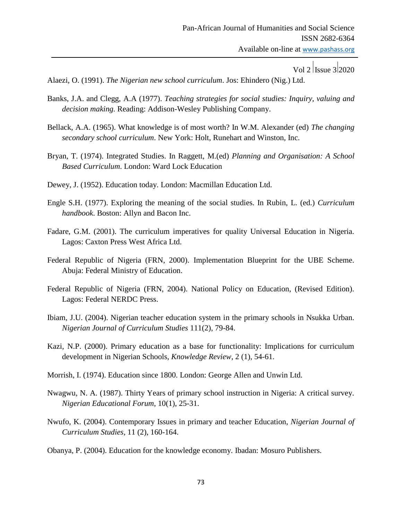Vol 2  $|$ Issue 3 $|2020$ 

Alaezi, O. (1991). *The Nigerian new school curriculum*. Jos: Ehindero (Nig.) Ltd.

- Banks, J.A. and Clegg, A.A (1977). *Teaching strategies for social studies: Inquiry, valuing and decision making.* Reading: Addison-Wesley Publishing Company.
- Bellack, A.A. (1965). What knowledge is of most worth? In W.M. Alexander (ed) *The changing secondary school curriculum*. New York: Holt, Runehart and Winston, Inc.
- Bryan, T. (1974). Integrated Studies. In Raggett, M.(ed) *Planning and Organisation: A School Based Curriculum*. London: Ward Lock Education
- Dewey, J. (1952). Education today. London: Macmillan Education Ltd.
- Engle S.H. (1977). Exploring the meaning of the social studies. In Rubin, L. (ed.) *Curriculum handbook*. Boston: Allyn and Bacon Inc.
- Fadare, G.M. (2001). The curriculum imperatives for quality Universal Education in Nigeria. Lagos: Caxton Press West Africa Ltd.
- Federal Republic of Nigeria (FRN, 2000). Implementation Blueprint for the UBE Scheme. Abuja: Federal Ministry of Education.
- Federal Republic of Nigeria (FRN, 2004). National Policy on Education, (Revised Edition). Lagos: Federal NERDC Press.
- Ibiam, J.U. (2004). Nigerian teacher education system in the primary schools in Nsukka Urban. *Nigerian Journal of Curriculum Studies* 111(2), 79-84.
- Kazi, N.P. (2000). Primary education as a base for functionality: Implications for curriculum development in Nigerian Schools, *Knowledge Review*, 2 (1), 54-61.
- Morrish, I. (1974). Education since 1800. London: George Allen and Unwin Ltd.
- Nwagwu, N. A. (1987). Thirty Years of primary school instruction in Nigeria: A critical survey. *Nigerian Educational Forum*, 10(1), 25-31.
- Nwufo, K. (2004). Contemporary Issues in primary and teacher Education, *Nigerian Journal of Curriculum Studies,* 11 (2), 160-164.
- Obanya, P. (2004). Education for the knowledge economy. Ibadan: Mosuro Publishers.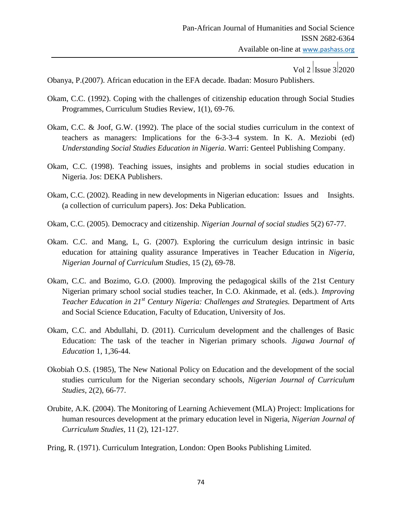Obanya, P.(2007). African education in the EFA decade. Ibadan: Mosuro Publishers.

- Okam, C.C. (1992). Coping with the challenges of citizenship education through Social Studies Programmes, Curriculum Studies Review, 1(1), 69-76.
- Okam, C.C. & Joof, G.W. (1992). The place of the social studies curriculum in the context of teachers as managers: Implications for the 6-3-3-4 system. In K. A. Meziobi (ed) *Understanding Social Studies Education in Nigeria*. Warri: Genteel Publishing Company.
- Okam, C.C. (1998). Teaching issues, insights and problems in social studies education in Nigeria. Jos: DEKA Publishers.
- Okam, C.C. (2002). Reading in new developments in Nigerian education: Issues and Insights. (a collection of curriculum papers). Jos: Deka Publication.
- Okam, C.C. (2005). Democracy and citizenship. *Nigerian Journal of social studies* 5(2) 67-77.
- Okam. C.C. and Mang, L, G. (2007). Exploring the curriculum design intrinsic in basic education for attaining quality assurance Imperatives in Teacher Education in *Nigeria, Nigerian Journal of Curriculum Studies*, 15 (2), 69-78.
- Okam, C.C. and Bozimo, G.O. (2000). Improving the pedagogical skills of the 21st Century Nigerian primary school social studies teacher, In C.O. Akinmade, et al. (eds.). *Improving Teacher Education in 21st Century Nigeria: Challenges and Strategies.* Department of Arts and Social Science Education, Faculty of Education, University of Jos.
- Okam, C.C. and Abdullahi, D. (2011). Curriculum development and the challenges of Basic Education: The task of the teacher in Nigerian primary schools. *Jigawa Journal of Education* 1, 1,36-44.
- Okobiah O.S. (1985), The New National Policy on Education and the development of the social studies curriculum for the Nigerian secondary schools, *Nigerian Journal of Curriculum Studies*, 2(2), 66-77.
- Orubite, A.K. (2004). The Monitoring of Learning Achievement (MLA) Project: Implications for human resources development at the primary education level in Nigeria, *Nigerian Journal of Curriculum Studies*, 11 (2), 121-127.
- Pring, R. (1971). Curriculum Integration, London: Open Books Publishing Limited.